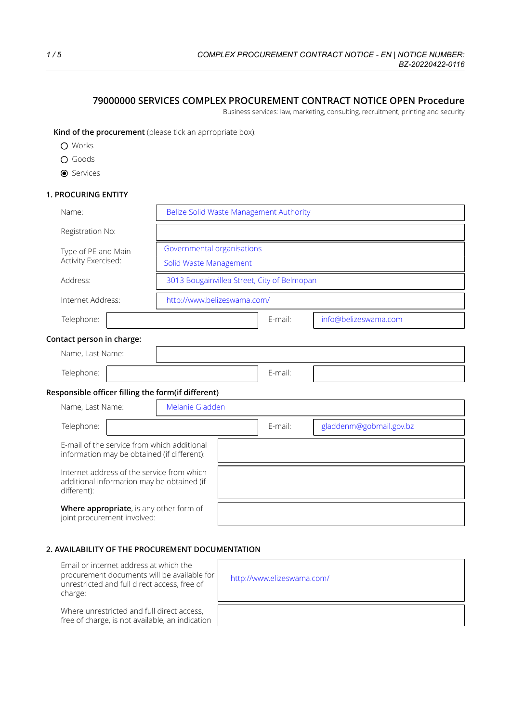# **79000000 SERVICES COMPLEX PROCUREMENT CONTRACT NOTICE OPEN Procedure**

Business services: law, marketing, consulting, recruitment, printing and security

**Kind of the procurement** (please tick an aprropriate box):

- O Works
- O Goods
- **O** Services

# **1. PROCURING ENTITY**

| Name:                                                                                                   | Belize Solid Waste Management Authority |  |                                             |                         |  |
|---------------------------------------------------------------------------------------------------------|-----------------------------------------|--|---------------------------------------------|-------------------------|--|
| Registration No:                                                                                        |                                         |  |                                             |                         |  |
| Type of PE and Main                                                                                     | Governmental organisations              |  |                                             |                         |  |
| Activity Exercised:                                                                                     | Solid Waste Management                  |  |                                             |                         |  |
| Address:                                                                                                |                                         |  | 3013 Bougainvillea Street, City of Belmopan |                         |  |
| Internet Address:                                                                                       | http://www.belizeswama.com/             |  |                                             |                         |  |
| Telephone:                                                                                              |                                         |  | E-mail:                                     | info@belizeswama.com    |  |
| Contact person in charge:                                                                               |                                         |  |                                             |                         |  |
| Name, Last Name:                                                                                        |                                         |  |                                             |                         |  |
| Telephone:                                                                                              |                                         |  | E-mail:                                     |                         |  |
| Responsible officer filling the form(if different)                                                      |                                         |  |                                             |                         |  |
| Name, Last Name:                                                                                        | Melanie Gladden                         |  |                                             |                         |  |
| Telephone:                                                                                              |                                         |  |                                             | gladdenm@gobmail.gov.bz |  |
| E-mail of the service from which additional<br>information may be obtained (if different):              |                                         |  |                                             |                         |  |
| Internet address of the service from which<br>additional information may be obtained (if<br>different): |                                         |  |                                             |                         |  |
| Where appropriate, is any other form of<br>joint procurement involved:                                  |                                         |  |                                             |                         |  |

# **2. AVAILABILITY OF THE PROCUREMENT DOCUMENTATION**

 $\sqrt{ }$ 

| Email or internet address at which the       |
|----------------------------------------------|
| procurement documents will be available for  |
| unrestricted and full direct access, free of |
| charge:                                      |

Where unrestricted and full direct access, free of charge, is not available, an indication

| http://www.elizeswama.com/ |
|----------------------------|
|                            |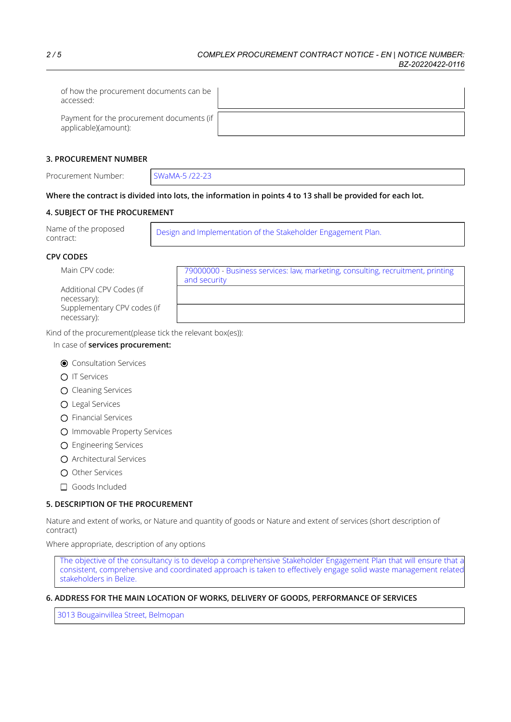| of how the procurement documents can be<br>accessed:                |  |
|---------------------------------------------------------------------|--|
| Payment for the procurement documents (if  <br>applicable)(amount): |  |

### **3. PROCUREMENT NUMBER**

Procurement Number: SWaMA-5 /22-23

# Where the contract is divided into lots, the information in points 4 to 13 shall be provided for each lot.

# **4. SUBJECT OF THE PROCUREMENT**

| Name of the proposed<br>contract: | Design and Implementation of the Stakeholder Engagement Plan. |
|-----------------------------------|---------------------------------------------------------------|
|-----------------------------------|---------------------------------------------------------------|

# **CPV CODES**

Additional CPV Codes (if necessary): Supplementary CPV codes (if necessary):

Main CPV code: 79000000 - Business services: law, marketing, consulting, recruitment, printing and security

Kind of the procurement(please tick the relevant box(es)):

### In case of **services procurement:**

- **O** Consultation Services
- O IT Services
- O Cleaning Services
- Legal Services
- O Financial Services
- O Immovable Property Services
- Engineering Services
- Architectural Services
- O Other Services
- Goods Included

# **5. DESCRIPTION OF THE PROCUREMENT**

Nature and extent of works, or Nature and quantity of goods or Nature and extent of services (short description of contract)

Where appropriate, description of any options

The objective of the consultancy is to develop a comprehensive Stakeholder Engagement Plan that will ensure that a consistent, comprehensive and coordinated approach is taken to effectively engage solid waste management related stakeholders in Belize.

# **6. ADDRESS FOR THE MAIN LOCATION OF WORKS, DELIVERY OF GOODS, PERFORMANCE OF SERVICES**

3013 Bougainvillea Street, Belmopan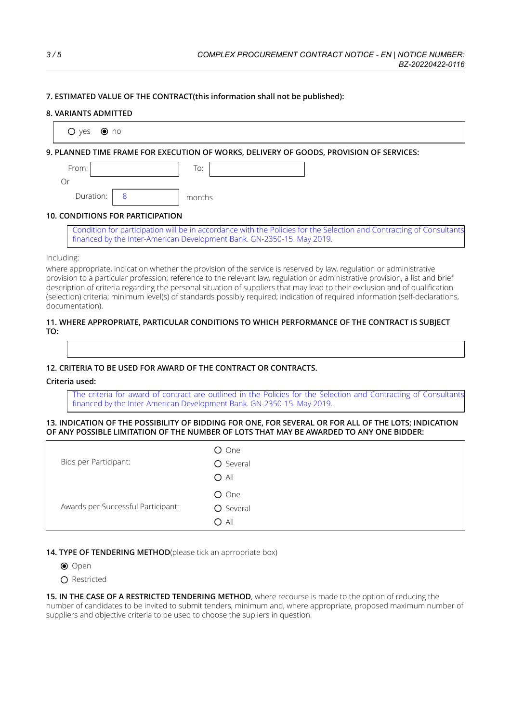### **7. ESTIMATED VALUE OF THE CONTRACT(this information shall not be published):**

#### **8. VARIANTS ADMITTED**

| $\odot$ no<br>$O$ yes            |                                                                                                                          |
|----------------------------------|--------------------------------------------------------------------------------------------------------------------------|
|                                  | 9. PLANNED TIME FRAME FOR EXECUTION OF WORKS, DELIVERY OF GOODS, PROVISION OF SERVICES:                                  |
| From:                            | To:                                                                                                                      |
| Or                               |                                                                                                                          |
| Duration:                        | months                                                                                                                   |
| 10. CONDITIONS FOR PARTICIPATION |                                                                                                                          |
|                                  | . Candidate for resulting the collection of consideration in the Baltime for the Colombia and Candidate and Conservation |

#### **10. CONDITIONS FOR PARTICIPATION**

Condition for participation will be in accordance with the Policies for the Selection and Contracting of Consultants financed by the Inter-American Development Bank. GN-2350-15. May 2019.

### Including:

where appropriate, indication whether the provision of the service is reserved by law, regulation or administrative provision to a particular profession; reference to the relevant law, regulation or administrative provision, a list and brief description of criteria regarding the personal situation of suppliers that may lead to their exclusion and of qualification (selection) criteria; minimum level(s) of standards possibly required; indication of required information (self-declarations, documentation).

#### **11. WHERE APPROPRIATE, PARTICULAR CONDITIONS TO WHICH PERFORMANCE OF THE CONTRACT IS SUBJECT TO:**

### **12. CRITERIA TO BE USED FOR AWARD OF THE CONTRACT OR CONTRACTS.**

#### **Criteria used:**

The criteria for award of contract are outlined in the Policies for the Selection and Contracting of Consultants financed by the Inter-American Development Bank. GN-2350-15. May 2019.

#### 13. INDICATION OF THE POSSIBILITY OF BIDDING FOR ONE, FOR SEVERAL OR FOR ALL OF THE LOTS; INDICATION **OF ANY POSSIBLE LIMITATION OF THE NUMBER OF LOTS THAT MAY BE AWARDED TO ANY ONE BIDDER:**

| Bids per Participant:              | O One<br>O Several<br>$O$ All |
|------------------------------------|-------------------------------|
| Awards per Successful Participant: | O One<br>O Several<br>$O$ All |

### 14. TYPE OF TENDERING METHOD(please tick an aprropriate box)

- O Open
- $\bigcap$  Restricted

**15. IN THE CASE OF A RESTRICTED TENDERING METHOD**, where recourse is made to the option of reducing the number of candidates to be invited to submit tenders, minimum and, where appropriate, proposed maximum number of suppliers and objective criteria to be used to choose the supliers in question.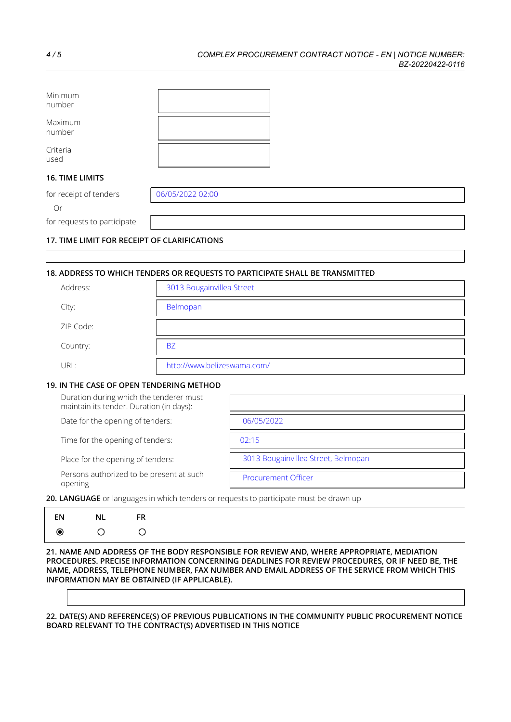| Minimum<br>number                            |                  |  |  |  |
|----------------------------------------------|------------------|--|--|--|
| Maximum<br>number                            |                  |  |  |  |
| Criteria<br>used                             |                  |  |  |  |
| <b>16. TIME LIMITS</b>                       |                  |  |  |  |
| for receipt of tenders                       | 06/05/2022 02:00 |  |  |  |
| Or                                           |                  |  |  |  |
| for requests to participate                  |                  |  |  |  |
| 17. TIME LIMIT FOR RECEIPT OF CLARIFICATIONS |                  |  |  |  |

# **18. ADDRESS TO WHICH TENDERS OR REQUESTS TO PARTICIPATE SHALL BE TRANSMITTED**

| Address:  | 3013 Bougainvillea Street   |
|-----------|-----------------------------|
| City:     | Belmopan                    |
| ZIP Code: |                             |
| Country:  | <b>BZ</b>                   |
| URL:      | http://www.belizeswama.com/ |

#### **19. IN THE CASE OF OPEN TENDERING METHOD**

| Duration during which the tenderer must<br>maintain its tender. Duration (in days): |                                     |
|-------------------------------------------------------------------------------------|-------------------------------------|
| Date for the opening of tenders:                                                    | 06/05/2022                          |
| Time for the opening of tenders:                                                    | 02:15                               |
| Place for the opening of tenders:                                                   | 3013 Bougainvillea Street, Belmopan |
| Persons authorized to be present at such<br>opening                                 | <b>Procurement Officer</b>          |

**20. LANGUAGE** or languages in which tenders or requests to participate must be drawn up

| EN | - NL |  |                                                                                      |  |
|----|------|--|--------------------------------------------------------------------------------------|--|
|    |      |  |                                                                                      |  |
|    |      |  | 21 NAME AND ADDECC OF THE RODY PECPONCIRLE EOP PEVIEW AND WHEPE APPPOPIATE MEDIATION |  |

**21. NAME AND ADDRESS OF THE BODY RESPONSIBLE FOR REVIEW AND, WHERE APPROPRIATE, MEDIATION PROCEDURES. PRECISE INFORMATION CONCERNING DEADLINES FOR REVIEW PROCEDURES, OR IF NEED BE, THE NAME, ADDRESS, TELEPHONE NUMBER, FAX NUMBER AND EMAIL ADDRESS OF THE SERVICE FROM WHICH THIS INFORMATION MAY BE OBTAINED (IF APPLICABLE).**

**22. DATE(S) AND REFERENCE(S) OF PREVIOUS PUBLICATIONS IN THE COMMUNITY PUBLIC PROCUREMENT NOTICE BOARD RELEVANT TO THE CONTRACT(S) ADVERTISED IN THIS NOTICE**